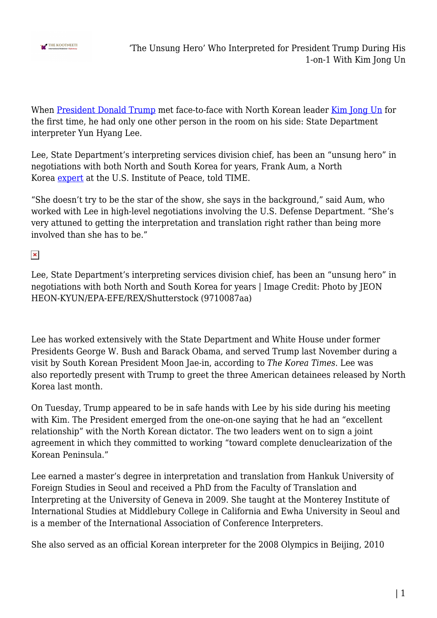

When [President Donald Trump](http://www.thekootneeti.com/tag/trump/) met face-to-face with North Korean leader [Kim Jong Un](http://www.thekootneeti.com/tag/kim-jong-un/) for the first time, he had only one other person in the room on his side: State Department interpreter Yun Hyang Lee.

Lee, State Department's interpreting services division chief, has been an "unsung hero" in negotiations with both North and South Korea for years, Frank Aum, a North Korea [expert](https://www.usip.org/people/frank-aum) at the U.S. Institute of Peace, told TIME.

"She doesn't try to be the star of the show, she says in the background," said Aum, who worked with Lee in high-level negotiations involving the U.S. Defense Department. "She's very attuned to getting the interpretation and translation right rather than being more involved than she has to be."

 $\pmb{\times}$ 

Lee, State Department's interpreting services division chief, has been an "unsung hero" in negotiations with both North and South Korea for years | Image Credit: Photo by JEON HEON-KYUN/EPA-EFE/REX/Shutterstock (9710087aa)

Lee has worked extensively with the State Department and White House under former Presidents George W. Bush and Barack Obama, and served Trump last November during a visit by South Korean President Moon Jae-in, according to *The Korea Times*. Lee was also reportedly present with Trump to greet the three American detainees released by North Korea last month.

On Tuesday, Trump appeared to be in safe hands with Lee by his side during his meeting with Kim. The President emerged from the one-on-one saying that he had an "excellent relationship" with the North Korean dictator. The two leaders went on to sign a joint agreement in which they committed to working "toward complete denuclearization of the Korean Peninsula."

Lee earned a master's degree in interpretation and translation from Hankuk University of Foreign Studies in Seoul and received a PhD from the Faculty of Translation and Interpreting at the University of Geneva in 2009. She taught at the Monterey Institute of International Studies at Middlebury College in California and Ewha University in Seoul and is a member of the International Association of Conference Interpreters.

She also served as an official Korean interpreter for the 2008 Olympics in Beijing, 2010